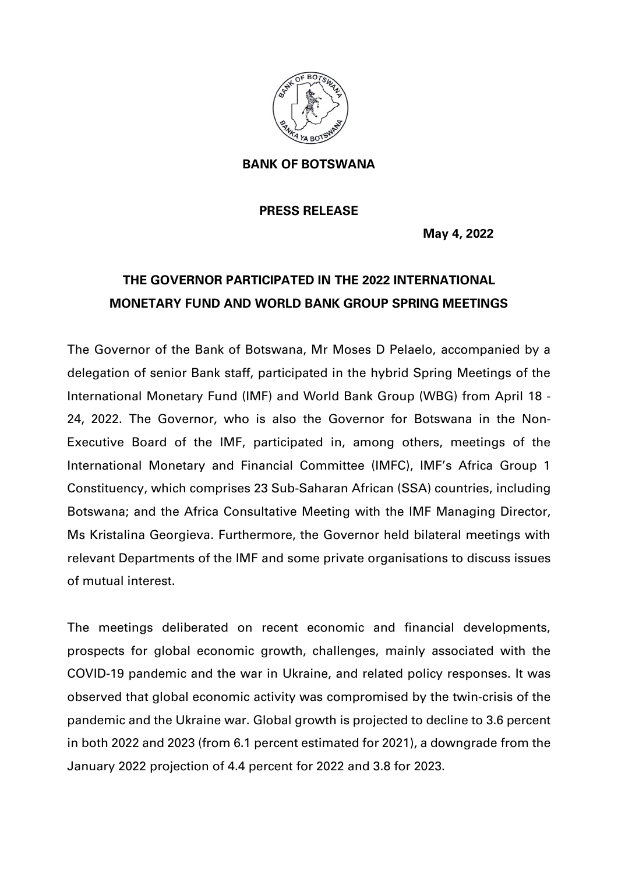

**BANK OF BOTSWANA** 

## **PRESS RELEASE**

**May 4, 2022**

## **THE GOVERNOR PARTICIPATED IN THE 2022 INTERNATIONAL MONETARY FUND AND WORLD BANK GROUP SPRING MEETINGS**

The Governor of the Bank of Botswana, Mr Moses D Pelaelo, accompanied by a delegation of senior Bank staff, participated in the hybrid Spring Meetings of the International Monetary Fund (IMF) and World Bank Group (WBG) from April 18 - 24, 2022. The Governor, who is also the Governor for Botswana in the Non-Executive Board of the IMF, participated in, among others, meetings of the International Monetary and Financial Committee (IMFC), IMF's Africa Group 1 Constituency, which comprises 23 Sub-Saharan African (SSA) countries, including Botswana; and the Africa Consultative Meeting with the IMF Managing Director, Ms Kristalina Georgieva. Furthermore, the Governor held bilateral meetings with relevant Departments of the IMF and some private organisations to discuss issues of mutual interest.

The meetings deliberated on recent economic and financial developments, prospects for global economic growth, challenges, mainly associated with the COVID-19 pandemic and the war in Ukraine, and related policy responses. It was observed that global economic activity was compromised by the twin-crisis of the pandemic and the Ukraine war. Global growth is projected to decline to 3.6 percent in both 2022 and 2023 (from 6.1 percent estimated for 2021), a downgrade from the January 2022 projection of 4.4 percent for 2022 and 3.8 for 2023.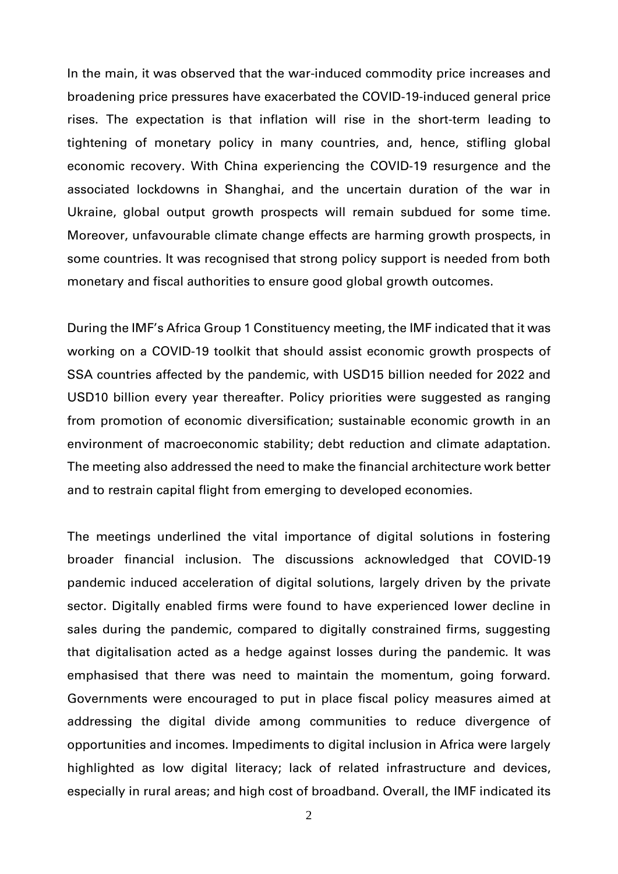In the main, it was observed that the war-induced commodity price increases and broadening price pressures have exacerbated the COVID-19-induced general price rises. The expectation is that inflation will rise in the short-term leading to tightening of monetary policy in many countries, and, hence, stifling global economic recovery. With China experiencing the COVID-19 resurgence and the associated lockdowns in Shanghai, and the uncertain duration of the war in Ukraine, global output growth prospects will remain subdued for some time. Moreover, unfavourable climate change effects are harming growth prospects, in some countries. It was recognised that strong policy support is needed from both monetary and fiscal authorities to ensure good global growth outcomes.

During the IMF's Africa Group 1 Constituency meeting, the IMF indicated that it was working on a COVID-19 toolkit that should assist economic growth prospects of SSA countries affected by the pandemic, with USD15 billion needed for 2022 and USD10 billion every year thereafter. Policy priorities were suggested as ranging from promotion of economic diversification; sustainable economic growth in an environment of macroeconomic stability; debt reduction and climate adaptation. The meeting also addressed the need to make the financial architecture work better and to restrain capital flight from emerging to developed economies.

The meetings underlined the vital importance of digital solutions in fostering broader financial inclusion. The discussions acknowledged that COVID-19 pandemic induced acceleration of digital solutions, largely driven by the private sector. Digitally enabled firms were found to have experienced lower decline in sales during the pandemic, compared to digitally constrained firms, suggesting that digitalisation acted as a hedge against losses during the pandemic. It was emphasised that there was need to maintain the momentum, going forward. Governments were encouraged to put in place fiscal policy measures aimed at addressing the digital divide among communities to reduce divergence of opportunities and incomes. Impediments to digital inclusion in Africa were largely highlighted as low digital literacy; lack of related infrastructure and devices, especially in rural areas; and high cost of broadband. Overall, the IMF indicated its

2